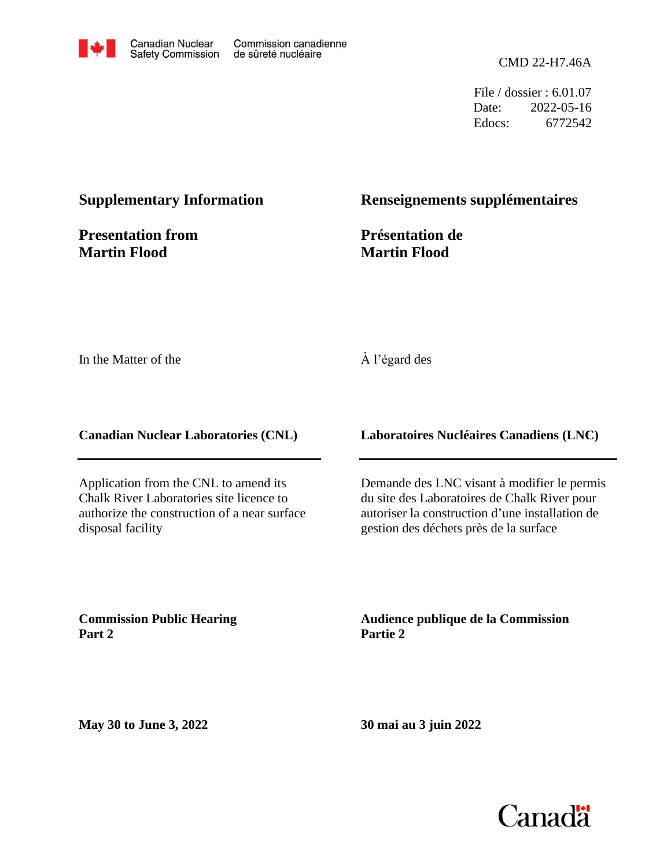

File / dossier : 6.01.07 Date: 2022-05-16 Edocs: 6772542

#### **Supplementary Information**

**Presentation from Martin Flood**

#### **Renseignements supplémentaires**

**Présentation de Martin Flood**

In the Matter of the

#### À l'égard des

**Canadian Nuclear Laboratories (CNL)**

Application from the CNL to amend its Chalk River Laboratories site licence to authorize the construction of a near surface disposal facility

**Laboratoires Nucléaires Canadiens (LNC)**

Demande des LNC visant à modifier le permis du site des Laboratoires de Chalk River pour autoriser la construction d'une installation de gestion des déchets près de la surface

**Commission Public Hearing Part 2**

**Audience publique de la Commission Partie 2**

**May 30 to June 3, 2022**

**30 mai au 3 juin 2022**

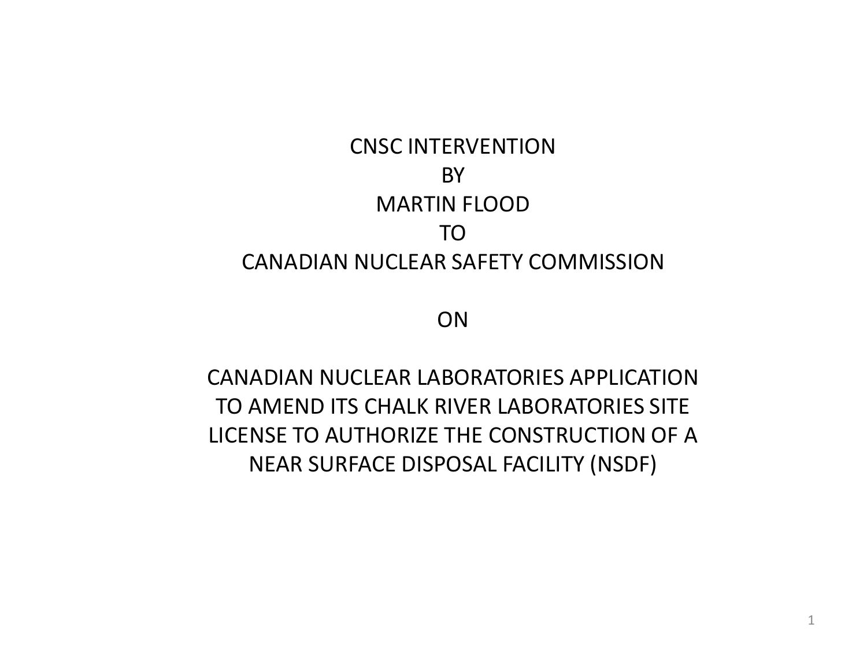# CNSC INTERVENTION BY MARTIN FLOOD TO CANADIAN NUCLEAR SAFETY COMMISSION

ON

CANADIAN NUCLEAR LABORATORIES APPLICATION TO AMEND ITS CHALK RIVER LABORATORIES SITE LICENSE TO AUTHORIZE THE CONSTRUCTION OF A NEAR SURFACE DISPOSAL FACILITY (NSDF)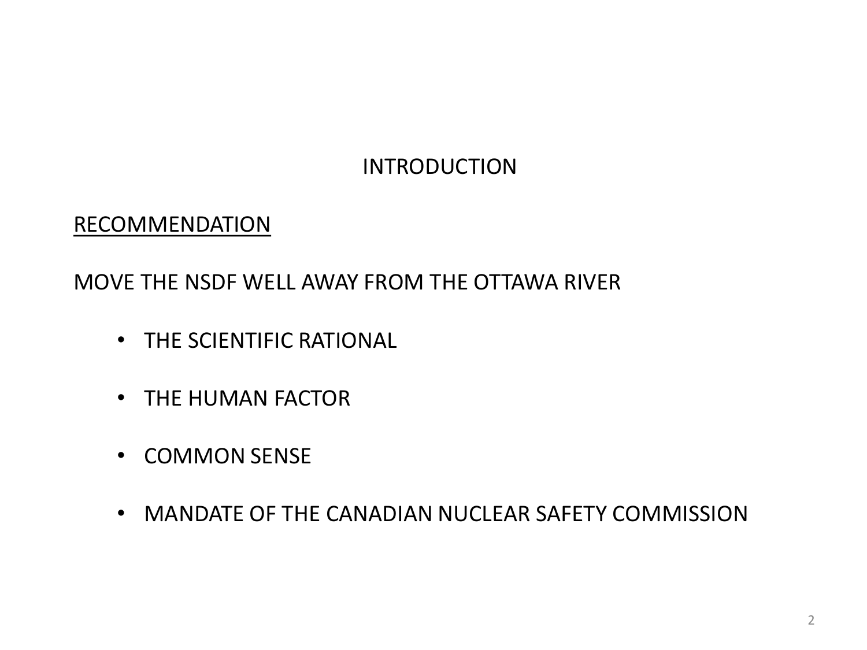# INTRODUCTION

## RECOMMENDATION

MOVE THE NSDF WELL AWAY FROM THE OTTAWA RIVER

- THE SCIENTIFIC RATIONAL
- THE HUMAN FACTOR
- COMMON SENSE
- MANDATE OF THE CANADIAN NUCLEAR SAFETY COMMISSION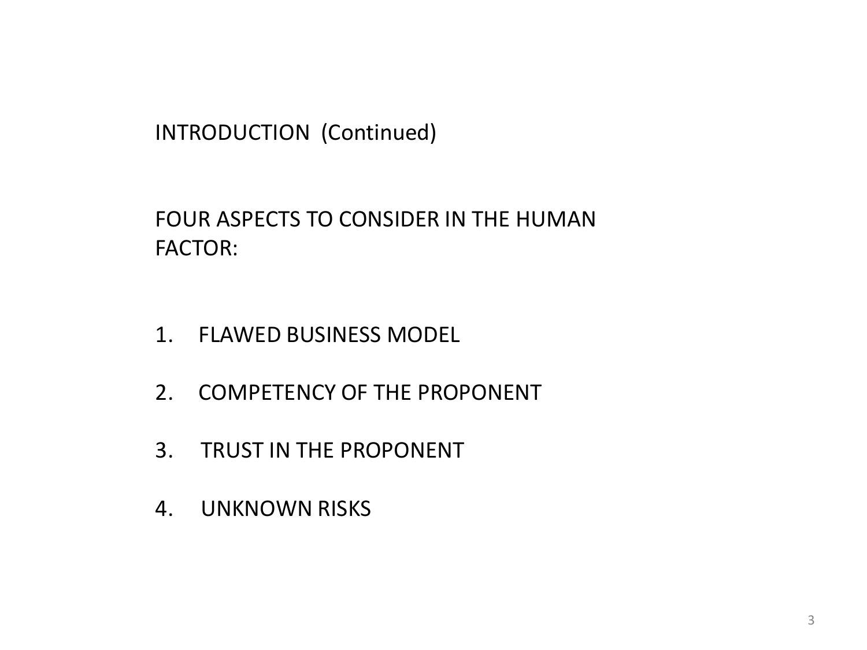INTRODUCTION (Continued)

FOUR ASPECTS TO CONSIDER IN THE HUMAN FACTOR:

- 1. FLAWED BUSINESS MODEL
- 2. COMPETENCY OF THE PROPONENT
- 3. TRUST IN THE PROPONENT
- 4. UNKNOWN RISKS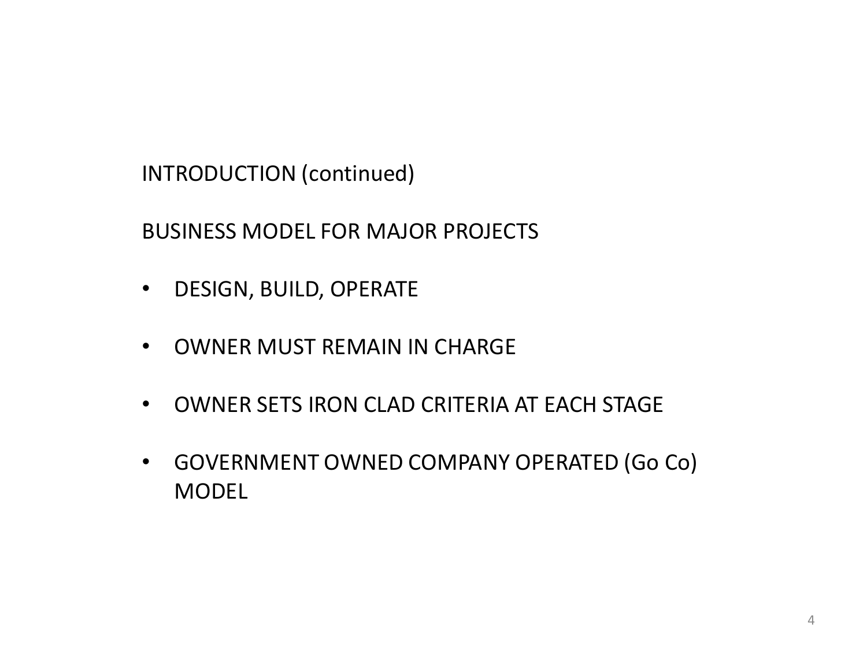INTRODUCTION (continued)

BUSINESS MODEL FOR MAJOR PROJECTS

- DESIGN, BUILD, OPERATE
- OWNER MUST REMAIN IN CHARGE
- OWNER SETS IRON CLAD CRITERIA AT EACH STAGE
- GOVERNMENT OWNED COMPANY OPERATED (Go Co) MODEL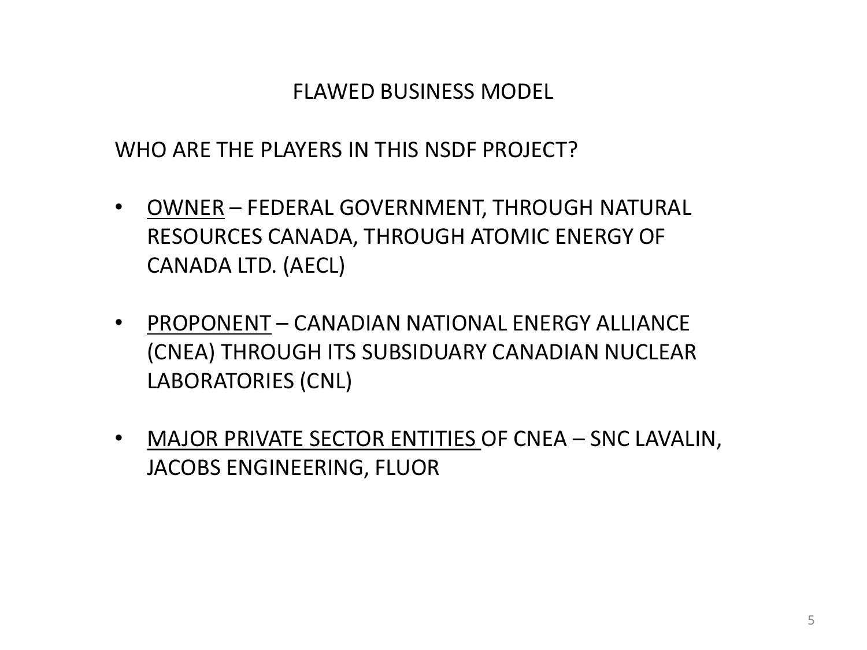## FLAWED BUSINESS MODEL

WHO ARE THE PLAYERS IN THIS NSDF PROJECT?

- OWNER FEDERAL GOVERNMENT, THROUGH NATURAL RESOURCES CANADA, THROUGH ATOMIC ENERGY OF CANADA LTD. (AECL)
- PROPONENT CANADIAN NATIONAL ENERGY ALLIANCE (CNEA) THROUGH ITS SUBSIDUARY CANADIAN NUCLEAR LABORATORIES (CNL)
- MAJOR PRIVATE SECTOR ENTITIES OF CNEA SNC LAVALIN, JACOBS ENGINEERING, FLUOR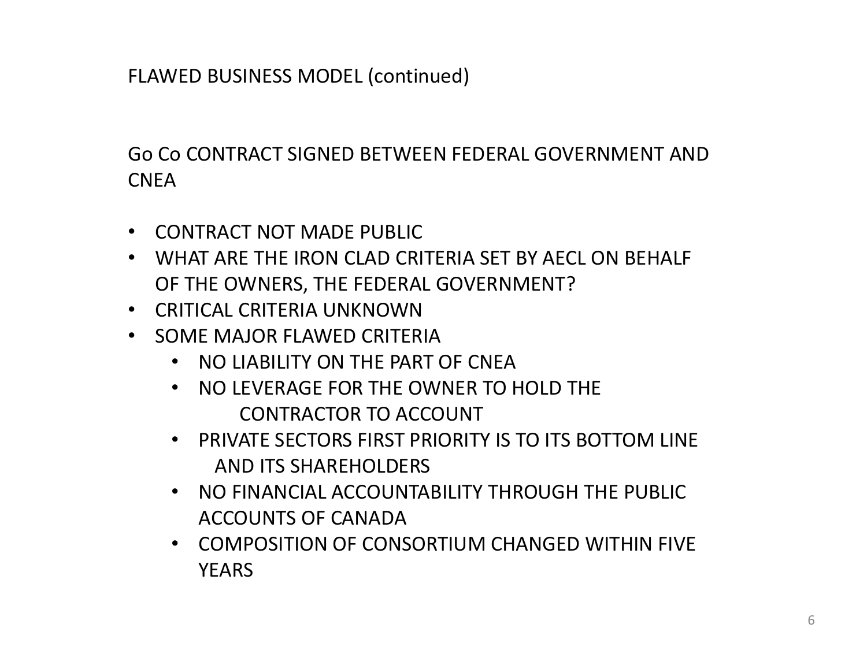Go Co CONTRACT SIGNED BETWEEN FEDERAL GOVERNMENT AND CNEA

- CONTRACT NOT MADE PUBLIC
- WHAT ARE THE IRON CLAD CRITERIA SET BY AECL ON BEHALF OF THE OWNERS, THE FEDERAL GOVERNMENT?
- CRITICAL CRITERIA UNKNOWN
- SOME MAJOR FLAWED CRITERIA
	- NO LIABILITY ON THE PART OF CNEA
	- NO LEVERAGE FOR THE OWNER TO HOLD THE CONTRACTOR TO ACCOUNT
	- PRIVATE SECTORS FIRST PRIORITY IS TO ITS BOTTOM LINE AND ITS SHAREHOLDERS
	- NO FINANCIAL ACCOUNTABILITY THROUGH THE PUBLIC ACCOUNTS OF CANADA
	- COMPOSITION OF CONSORTIUM CHANGED WITHIN FIVE **YFARS**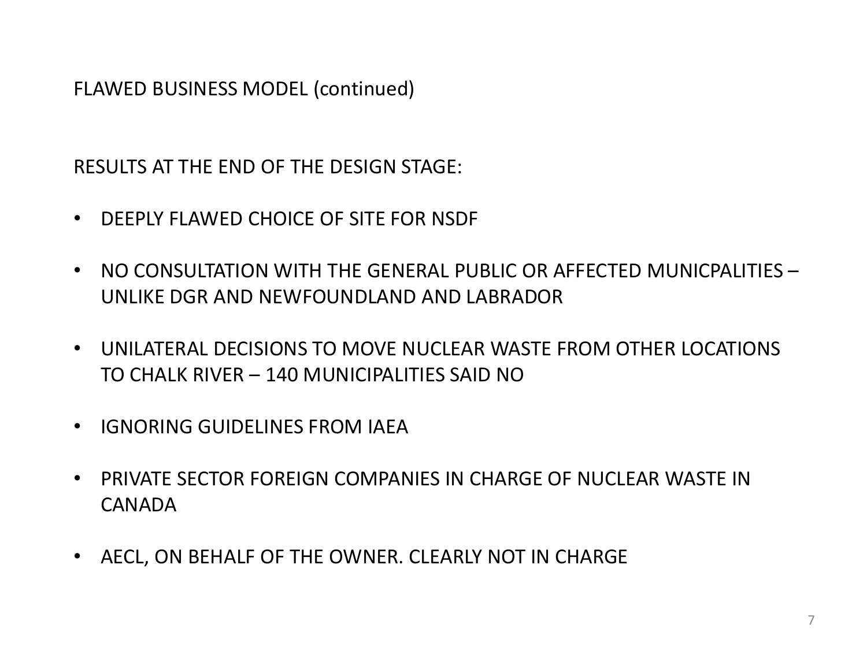RESULTS AT THE END OF THE DESIGN STAGE:

- DEEPLY FLAWED CHOICE OF SITE FOR NSDF
- NO CONSULTATION WITH THE GENERAL PUBLIC OR AFFECTED MUNICPALITIES UNLIKE DGR AND NEWFOUNDLAND AND LABRADOR
- UNILATERAL DECISIONS TO MOVE NUCLEAR WASTE FROM OTHER LOCATIONS TO CHALK RIVER – 140 MUNICIPALITIES SAID NO
- IGNORING GUIDELINES FROM IAEA
- PRIVATE SECTOR FOREIGN COMPANIES IN CHARGE OF NUCLEAR WASTE IN CANADA
- AECL, ON BEHALF OF THE OWNER. CLEARLY NOT IN CHARGE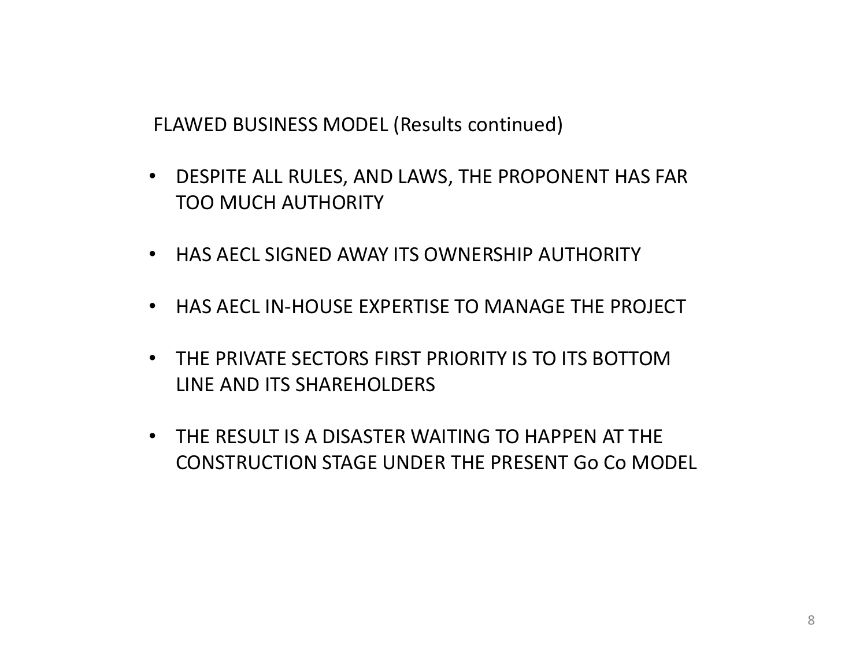FLAWED BUSINESS MODEL (Results continued)

- DESPITE ALL RULES, AND LAWS, THE PROPONENT HAS FAR TOO MUCH AUTHORITY
- HAS AECL SIGNED AWAY ITS OWNERSHIP AUTHORITY
- HAS AECL IN-HOUSE EXPERTISE TO MANAGE THE PROJECT
- THE PRIVATE SECTORS FIRST PRIORITY IS TO ITS BOTTOM LINE AND ITS SHAREHOLDERS
- THE RESULT IS A DISASTER WAITING TO HAPPEN AT THE CONSTRUCTION STAGE UNDER THE PRESENT Go Co MODEL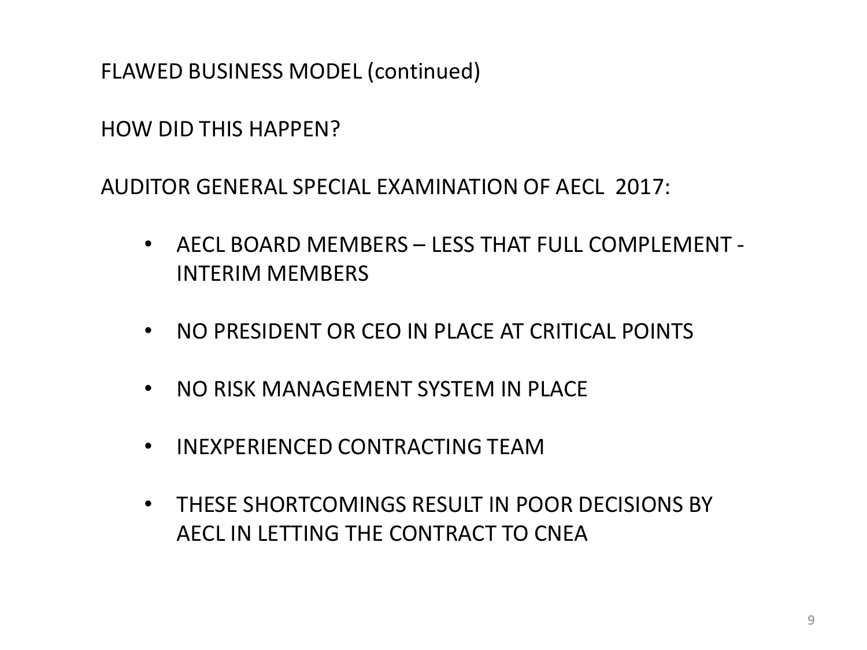HOW DID THIS HAPPEN?

AUDITOR GENERAL SPECIAL EXAMINATION OF AECL 2017:

- AECL BOARD MEMBERS LESS THAT FULL COMPLEMENT INTERIM MEMBERS
- NO PRESIDENT OR CEO IN PLACE AT CRITICAL POINTS
- NO RISK MANAGEMENT SYSTEM IN PLACE
- INEXPERIENCED CONTRACTING TEAM
- THESE SHORTCOMINGS RESULT IN POOR DECISIONS BY AECL IN LETTING THE CONTRACT TO CNEA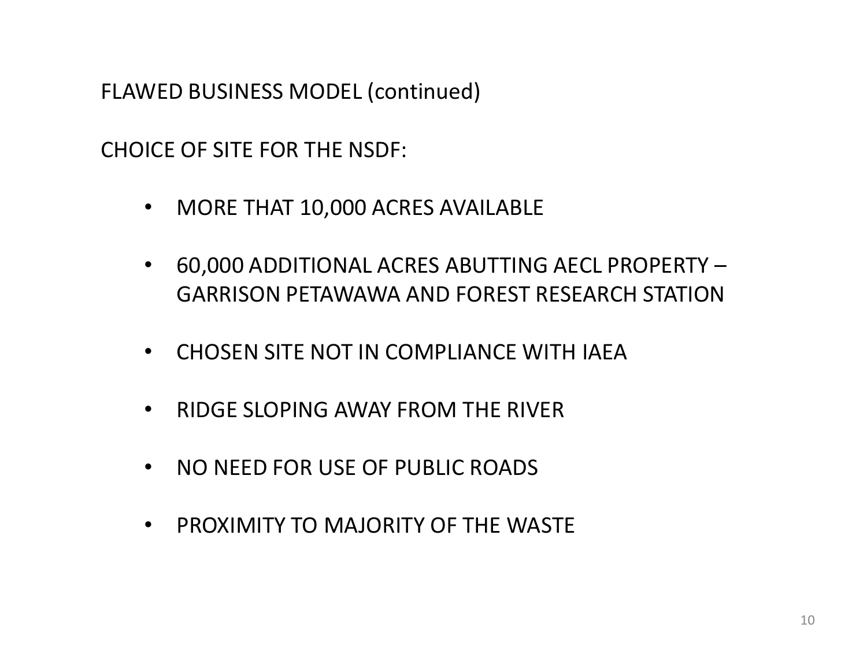CHOICE OF SITE FOR THE NSDF:

- MORE THAT 10,000 ACRES AVAILABLE
- 60,000 ADDITIONAL ACRES ABUTTING AECL PROPERTY GARRISON PETAWAWA AND FOREST RESEARCH STATION
- CHOSEN SITE NOT IN COMPLIANCE WITH IAEA
- RIDGE SLOPING AWAY FROM THE RIVER
- NO NEED FOR USE OF PUBLIC ROADS
- PROXIMITY TO MAJORITY OF THE WASTE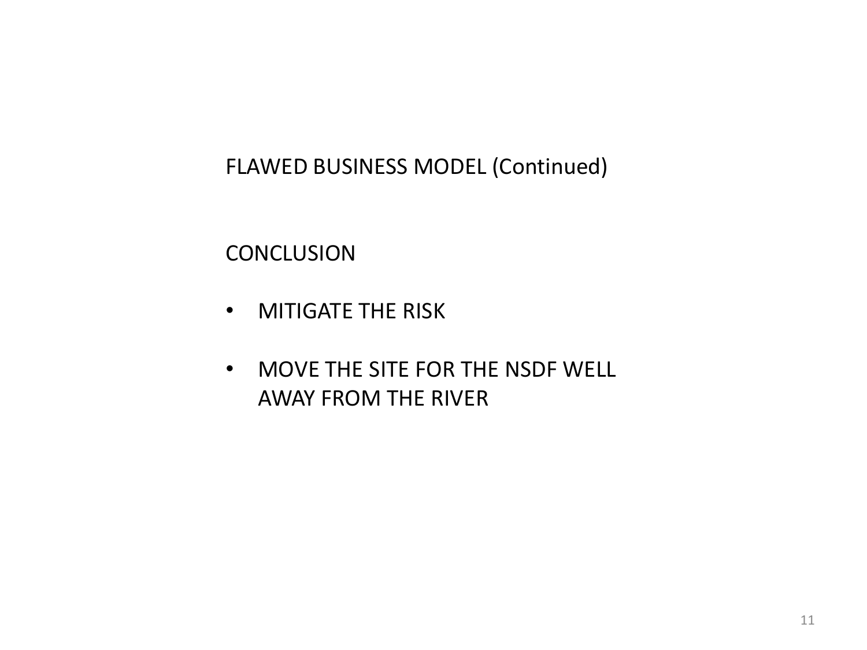**CONCLUSION** 

- MITIGATE THE RISK
- MOVE THE SITE FOR THE NSDF WELL AWAY FROM THE RIVER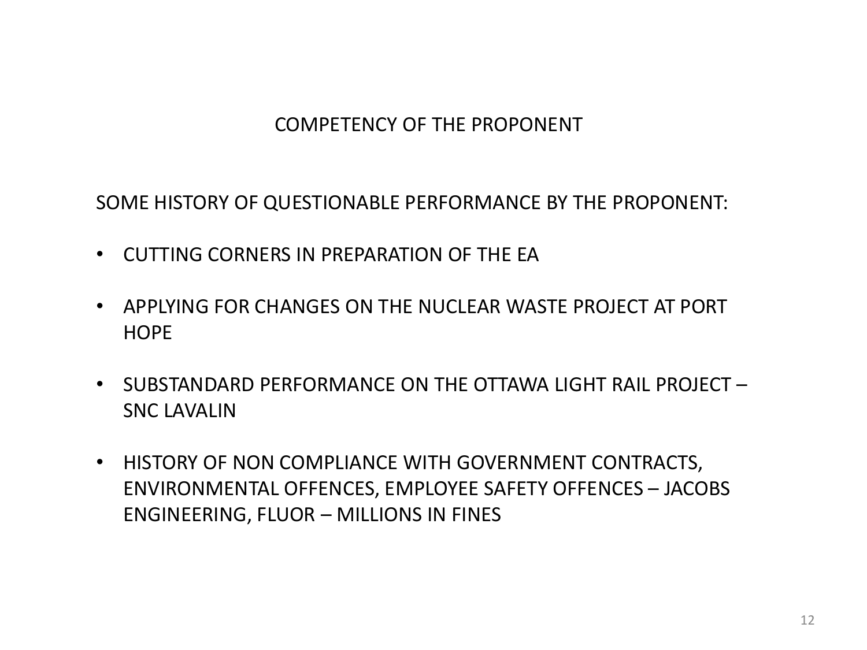### COMPETENCY OF THE PROPONENT

SOME HISTORY OF QUESTIONABLE PERFORMANCE BY THE PROPONENT:

- CUTTING CORNERS IN PREPARATION OF THE EA
- APPLYING FOR CHANGES ON THE NUCLEAR WASTE PROJECT AT PORT **HOPE**
- SUBSTANDARD PERFORMANCE ON THE OTTAWA LIGHT RAIL PROJECT SNC LAVALIN
- HISTORY OF NON COMPLIANCE WITH GOVERNMENT CONTRACTS, ENVIRONMENTAL OFFENCES, EMPLOYEE SAFETY OFFENCES – JACOBS ENGINEERING, FLUOR – MILLIONS IN FINES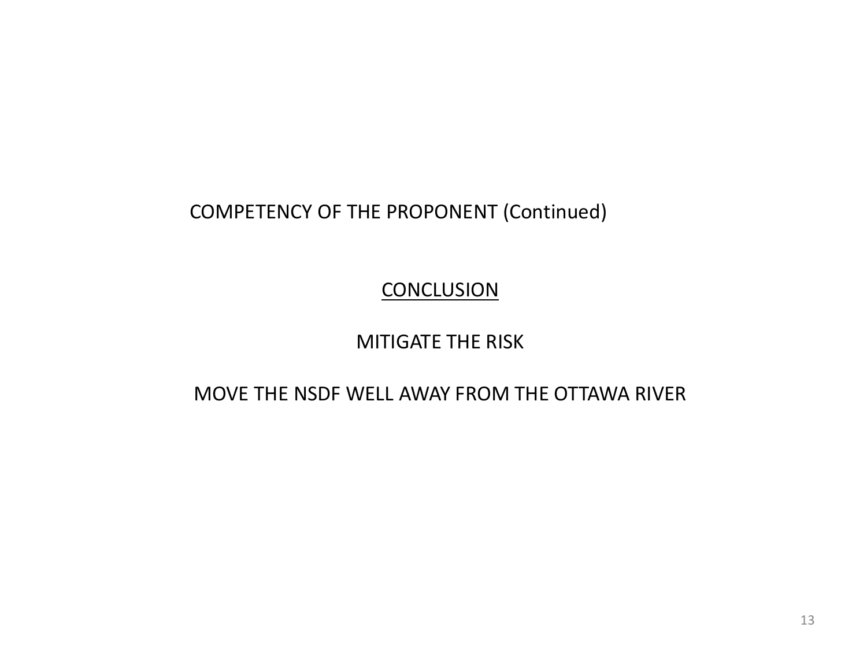COMPETENCY OF THE PROPONENT (Continued)

**CONCLUSION** 

MITIGATE THE RISK

MOVE THE NSDF WELL AWAY FROM THE OTTAWA RIVER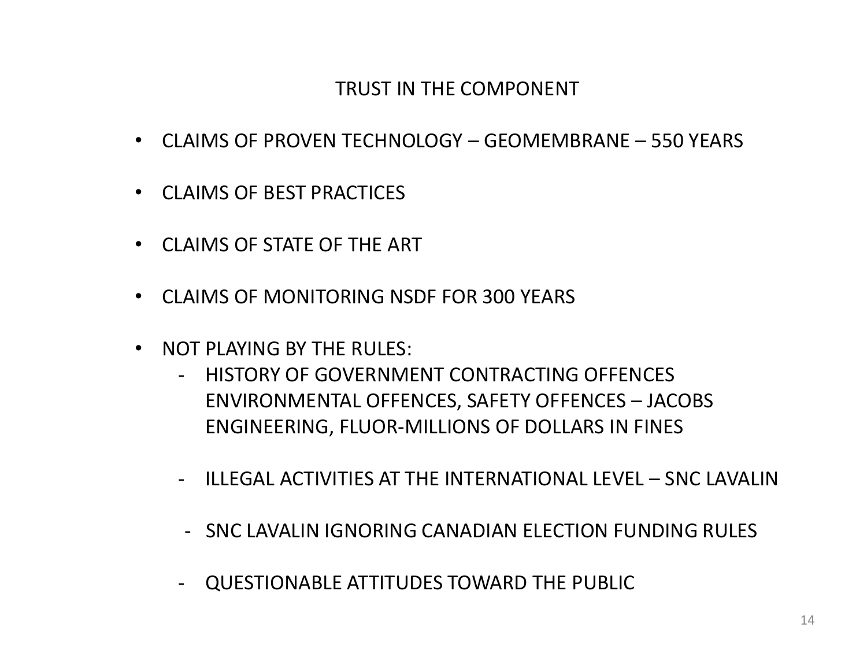### TRUST IN THE COMPONENT

- CLAIMS OF PROVEN TECHNOLOGY GEOMEMBRANE 550 YEARS
- CLAIMS OF BEST PRACTICES
- CLAIMS OF STATE OF THE ART
- CLAIMS OF MONITORING NSDF FOR 300 YEARS
- NOT PLAYING BY THE RULES:
	- HISTORY OF GOVERNMENT CONTRACTING OFFENCES ENVIRONMENTAL OFFENCES, SAFETY OFFENCES – JACOBS ENGINEERING, FLUOR-MILLIONS OF DOLLARS IN FINES
	- ILLEGAL ACTIVITIES AT THE INTERNATIONAL LEVEL SNC LAVALIN
	- SNC LAVALIN IGNORING CANADIAN ELECTION FUNDING RULES
	- QUESTIONABLE ATTITUDES TOWARD THE PUBLIC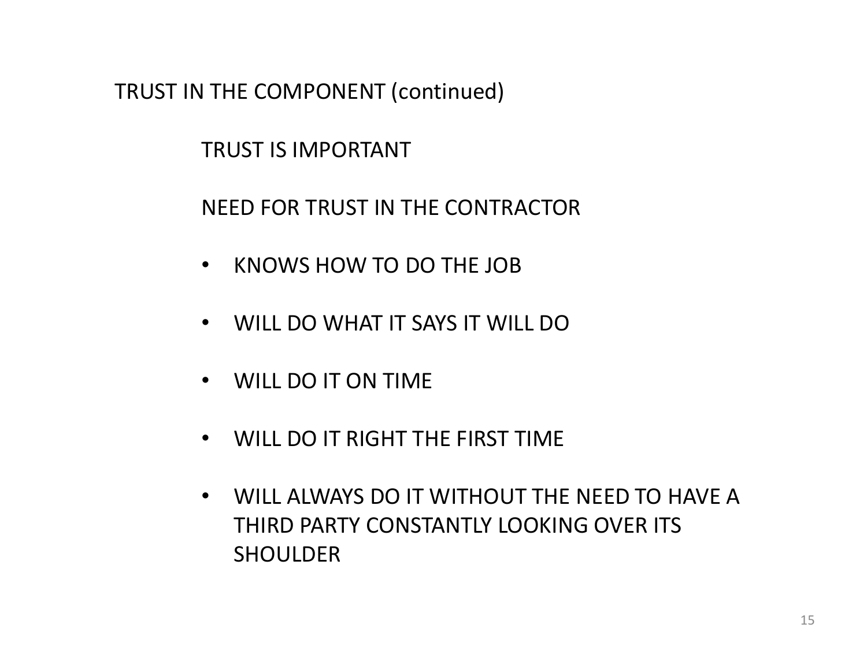TRUST IN THE COMPONENT (continued)

TRUST IS IMPORTANT

NEED FOR TRUST IN THE CONTRACTOR

- KNOWS HOW TO DO THE JOB
- WILL DO WHAT IT SAYS IT WILL DO
- WILL DO IT ON TIME
- WILL DO IT RIGHT THE FIRST TIME
- WILL ALWAYS DO IT WITHOUT THE NEED TO HAVE A THIRD PARTY CONSTANTLY LOOKING OVER ITS SHOULDER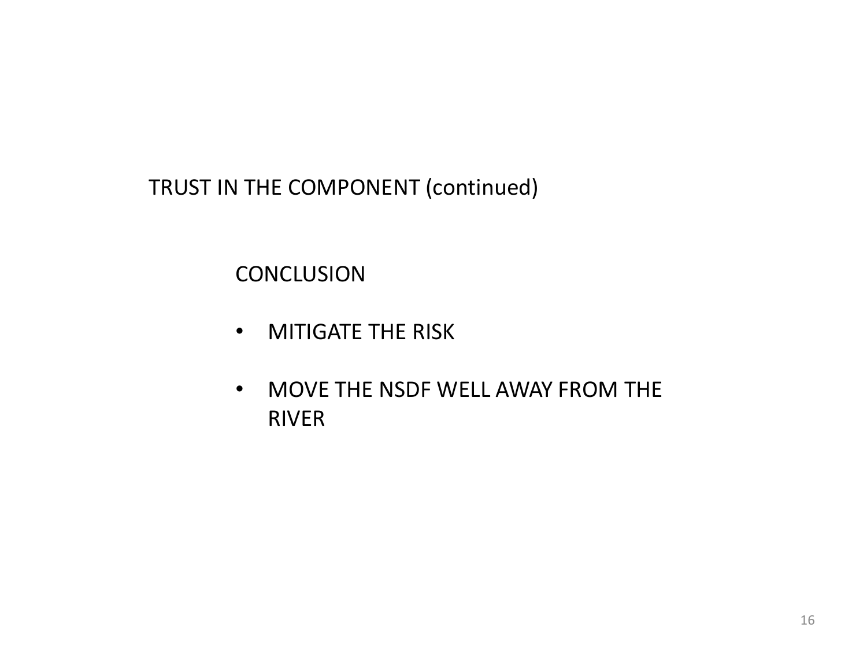TRUST IN THE COMPONENT (continued)

**CONCLUSION** 

- MITIGATE THE RISK
- MOVE THE NSDF WELL AWAY FROM THE RIVER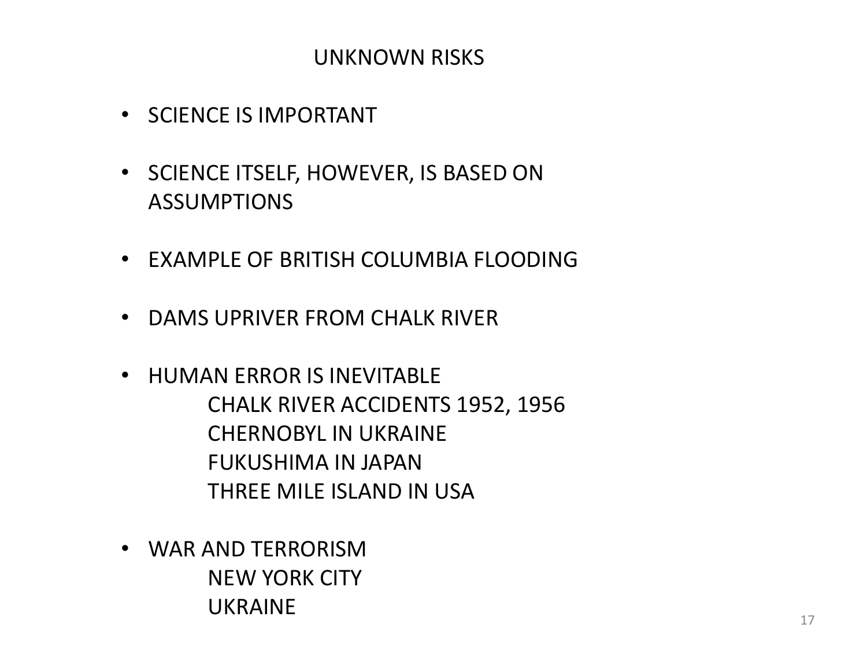## UNKNOWN RISKS

- SCIENCE IS IMPORTANT
- SCIENCE ITSELF, HOWEVER, IS BASED ON **ASSUMPTIONS**
- EXAMPLE OF BRITISH COLUMBIA FLOODING
- DAMS UPRIVER FROM CHALK RIVER
- HUMAN ERROR IS INEVITABLE CHALK RIVER ACCIDENTS 1952, 1956 CHERNOBYL IN UKRAINE FUKUSHIMA IN JAPAN THREE MILE ISLAND IN USA
- WAR AND TERRORISM NEW YORK CITY UKRAINE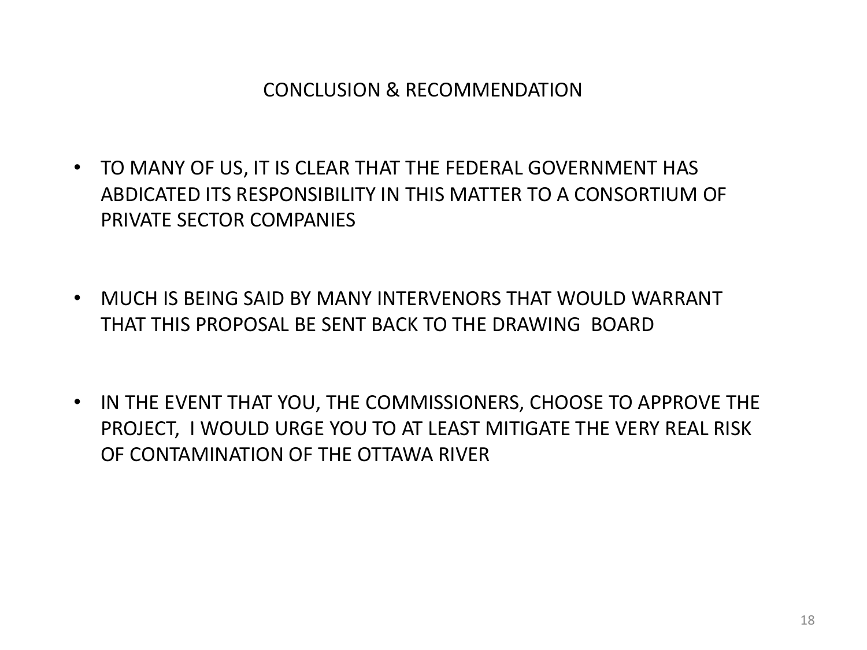### CONCLUSION & RECOMMENDATION

- TO MANY OF US, IT IS CLEAR THAT THE FEDERAL GOVERNMENT HAS ABDICATED ITS RESPONSIBILITY IN THIS MATTER TO A CONSORTIUM OF PRIVATE SECTOR COMPANIES
- MUCH IS BEING SAID BY MANY INTERVENORS THAT WOULD WARRANT THAT THIS PROPOSAL BE SENT BACK TO THE DRAWING BOARD
- IN THE EVENT THAT YOU, THE COMMISSIONERS, CHOOSE TO APPROVE THE PROJECT, I WOULD URGE YOU TO AT LEAST MITIGATE THE VERY REAL RISK OF CONTAMINATION OF THE OTTAWA RIVER